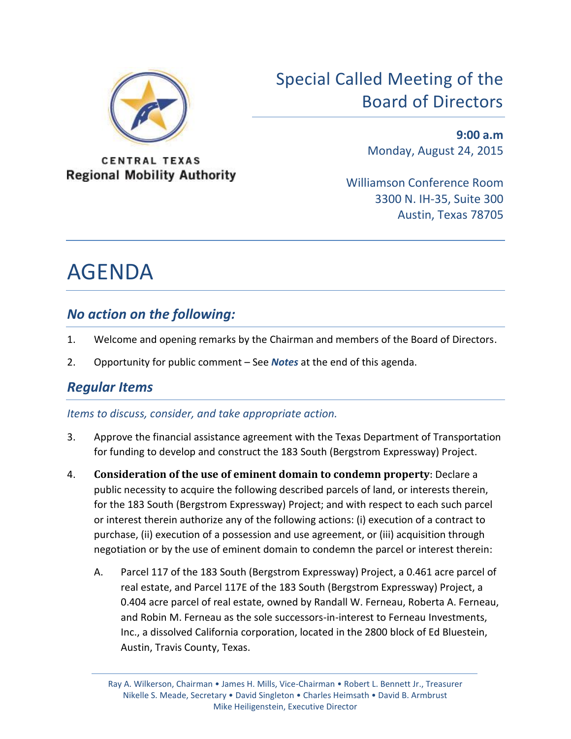

**CENTRAL TEXAS Regional Mobility Authority** 

# Special Called Meeting of the Board of Directors

**9:00 a.m** Monday, August 24, 2015

Williamson Conference Room 3300 N. IH-35, Suite 300 Austin, Texas 78705

# AGENDA

## *No action on the following:*

- 1. Welcome and opening remarks by the Chairman and members of the Board of Directors.
- 2. Opportunity for public comment See *Notes* at the end of this agenda.

# *Regular Items*

#### *Items to discuss, consider, and take appropriate action.*

- 3. Approve the financial assistance agreement with the Texas Department of Transportation for funding to develop and construct the 183 South (Bergstrom Expressway) Project.
- 4. **Consideration of the use of eminent domain to condemn property**: Declare a public necessity to acquire the following described parcels of land, or interests therein, for the 183 South (Bergstrom Expressway) Project; and with respect to each such parcel or interest therein authorize any of the following actions: (i) execution of a contract to purchase, (ii) execution of a possession and use agreement, or (iii) acquisition through negotiation or by the use of eminent domain to condemn the parcel or interest therein:
	- A. Parcel 117 of the 183 South (Bergstrom Expressway) Project, a 0.461 acre parcel of real estate, and Parcel 117E of the 183 South (Bergstrom Expressway) Project, a 0.404 acre parcel of real estate, owned by Randall W. Ferneau, Roberta A. Ferneau, and Robin M. Ferneau as the sole successors-in-interest to Ferneau Investments, Inc., a dissolved California corporation, located in the 2800 block of Ed Bluestein, Austin, Travis County, Texas.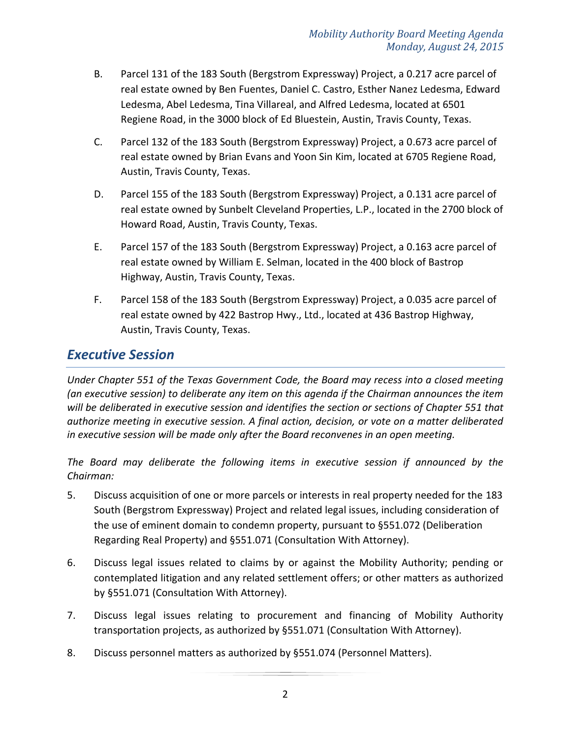- B. Parcel 131 of the 183 South (Bergstrom Expressway) Project, a 0.217 acre parcel of real estate owned by Ben Fuentes, Daniel C. Castro, Esther Nanez Ledesma, Edward Ledesma, Abel Ledesma, Tina Villareal, and Alfred Ledesma, located at 6501 Regiene Road, in the 3000 block of Ed Bluestein, Austin, Travis County, Texas.
- C. Parcel 132 of the 183 South (Bergstrom Expressway) Project, a 0.673 acre parcel of real estate owned by Brian Evans and Yoon Sin Kim, located at 6705 Regiene Road, Austin, Travis County, Texas.
- D. Parcel 155 of the 183 South (Bergstrom Expressway) Project, a 0.131 acre parcel of real estate owned by Sunbelt Cleveland Properties, L.P., located in the 2700 block of Howard Road, Austin, Travis County, Texas.
- E. Parcel 157 of the 183 South (Bergstrom Expressway) Project, a 0.163 acre parcel of real estate owned by William E. Selman, located in the 400 block of Bastrop Highway, Austin, Travis County, Texas.
- F. Parcel 158 of the 183 South (Bergstrom Expressway) Project, a 0.035 acre parcel of real estate owned by 422 Bastrop Hwy., Ltd., located at 436 Bastrop Highway, Austin, Travis County, Texas.

## *Executive Session*

*Under Chapter 551 of the Texas Government Code, the Board may recess into a closed meeting (an executive session) to deliberate any item on this agenda if the Chairman announces the item will be deliberated in executive session and identifies the section or sections of Chapter 551 that authorize meeting in executive session. A final action, decision, or vote on a matter deliberated in executive session will be made only after the Board reconvenes in an open meeting.*

*The Board may deliberate the following items in executive session if announced by the Chairman:*

- 5. Discuss acquisition of one or more parcels or interests in real property needed for the 183 South (Bergstrom Expressway) Project and related legal issues, including consideration of the use of eminent domain to condemn property, pursuant to §551.072 (Deliberation Regarding Real Property) and §551.071 (Consultation With Attorney).
- 6. Discuss legal issues related to claims by or against the Mobility Authority; pending or contemplated litigation and any related settlement offers; or other matters as authorized by §551.071 (Consultation With Attorney).
- 7. Discuss legal issues relating to procurement and financing of Mobility Authority transportation projects, as authorized by §551.071 (Consultation With Attorney).
- 8. Discuss personnel matters as authorized by §551.074 (Personnel Matters).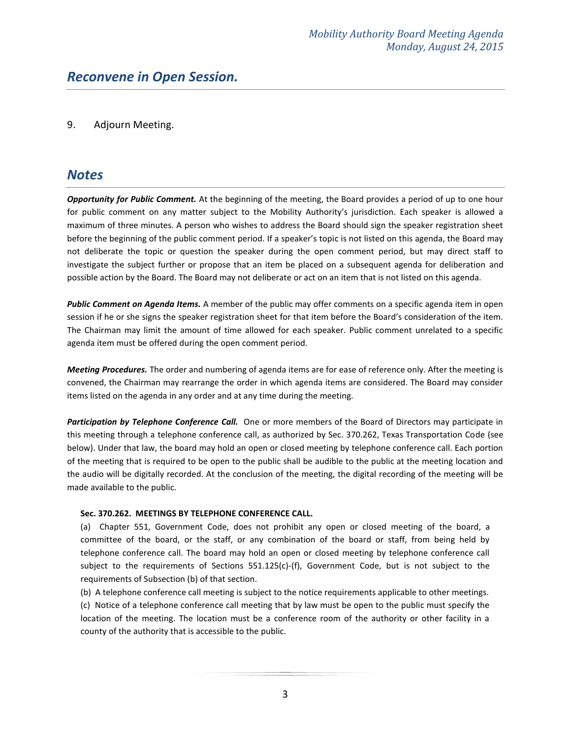#### 9. Adjourn Meeting.

#### *Notes*

*Opportunity for Public Comment.* At the beginning of the meeting, the Board provides a period of up to one hour for public comment on any matter subject to the Mobility Authority's jurisdiction. Each speaker is allowed a maximum of three minutes. A person who wishes to address the Board should sign the speaker registration sheet before the beginning of the public comment period. If a speaker's topic is not listed on this agenda, the Board may not deliberate the topic or question the speaker during the open comment period, but may direct staff to investigate the subject further or propose that an item be placed on a subsequent agenda for deliberation and possible action by the Board. The Board may not deliberate or act on an item that is not listed on this agenda.

*Public Comment on Agenda Items.* A member of the public may offer comments on a specific agenda item in open session if he or she signs the speaker registration sheet for that item before the Board's consideration of the item. The Chairman may limit the amount of time allowed for each speaker. Public comment unrelated to a specific agenda item must be offered during the open comment period.

*Meeting Procedures.* The order and numbering of agenda items are for ease of reference only. After the meeting is convened, the Chairman may rearrange the order in which agenda items are considered. The Board may consider items listed on the agenda in any order and at any time during the meeting.

*Participation by Telephone Conference Call.* One or more members of the Board of Directors may participate in this meeting through a telephone conference call, as authorized by Sec. 370.262, Texas Transportation Code (see below). Under that law, the board may hold an open or closed meeting by telephone conference call. Each portion of the meeting that is required to be open to the public shall be audible to the public at the meeting location and the audio will be digitally recorded. At the conclusion of the meeting, the digital recording of the meeting will be made available to the public.

#### **Sec. 370.262. MEETINGS BY TELEPHONE CONFERENCE CALL.**

(a) Chapter 551, Government Code, does not prohibit any open or closed meeting of the board, a committee of the board, or the staff, or any combination of the board or staff, from being held by telephone conference call. The board may hold an open or closed meeting by telephone conference call subject to the requirements of Sections 551.125(c)-(f), Government Code, but is not subject to the requirements of Subsection (b) of that section.

(b) A telephone conference call meeting is subject to the notice requirements applicable to other meetings.

(c) Notice of a telephone conference call meeting that by law must be open to the public must specify the location of the meeting. The location must be a conference room of the authority or other facility in a county of the authority that is accessible to the public.